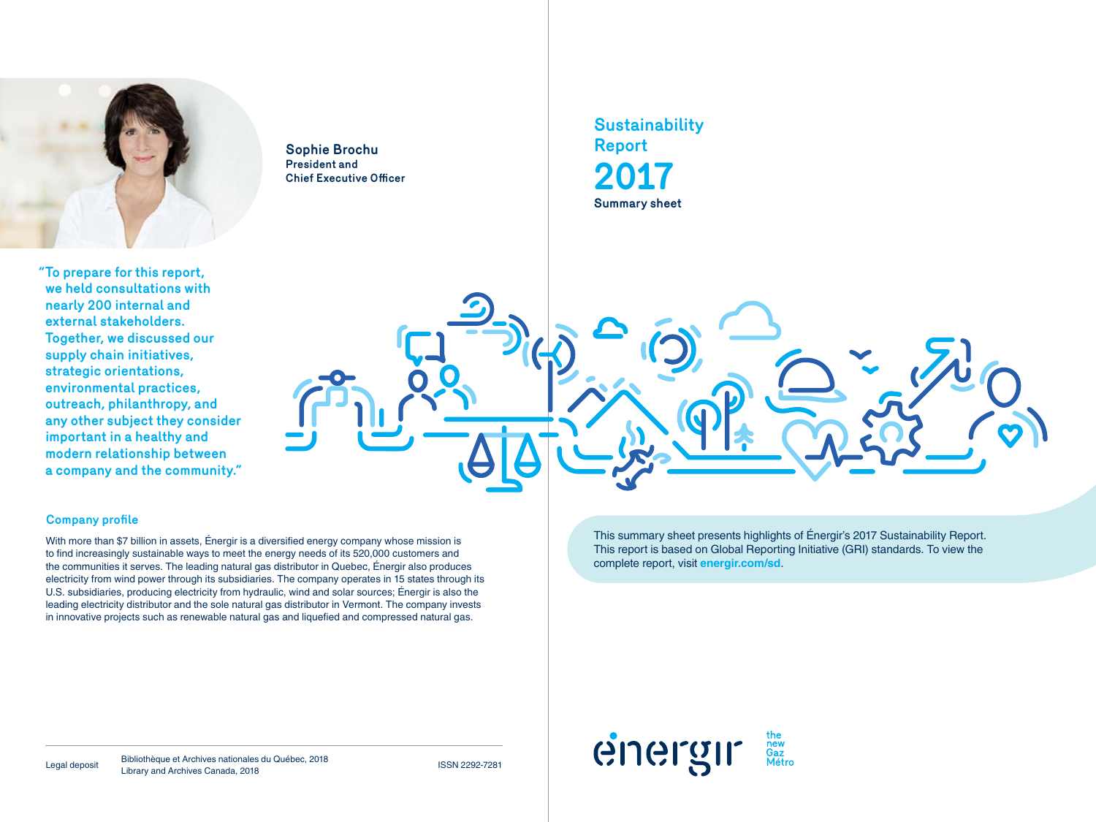

**"To prepare for this report, we held consultations with nearly 200 internal and external stakeholders. Together, we discussed our supply chain initiatives, strategic orientations, environmental practices, outreach, philanthropy, and any other subject they consider important in a healthy and modern relationship between a company and the community."**

**Sophie Brochu President and Chief Executive Officer** **Sustainability Report 2017 Summary sheet**



#### **Company profile**

With more than \$7 billion in assets, Énergir is a diversified energy company whose mission is to find increasingly sustainable ways to meet the energy needs of its 520,000 customers and the communities it serves. The leading natural gas distributor in Quebec, Énergir also produces electricity from wind power through its subsidiaries. The company operates in 15 states through its U.S. subsidiaries, producing electricity from hydraulic, wind and solar sources; Énergir is also the leading electricity distributor and the sole natural gas distributor in Vermont. The company invests in innovative projects such as renewable natural gas and liquefied and compressed natural gas.

This summary sheet presents highlights of Énergir's 2017 Sustainability Report. This report is based on Global Reporting Initiative (GRI) standards. To view the complete report, visit **energir.com/sd**.



Legal deposit Bibliothèque et Archives nationales du Québec, 2018 Bibliotheque et Archives Hallohales du Quebec, 2016<br>Library and Archives Canada, 2018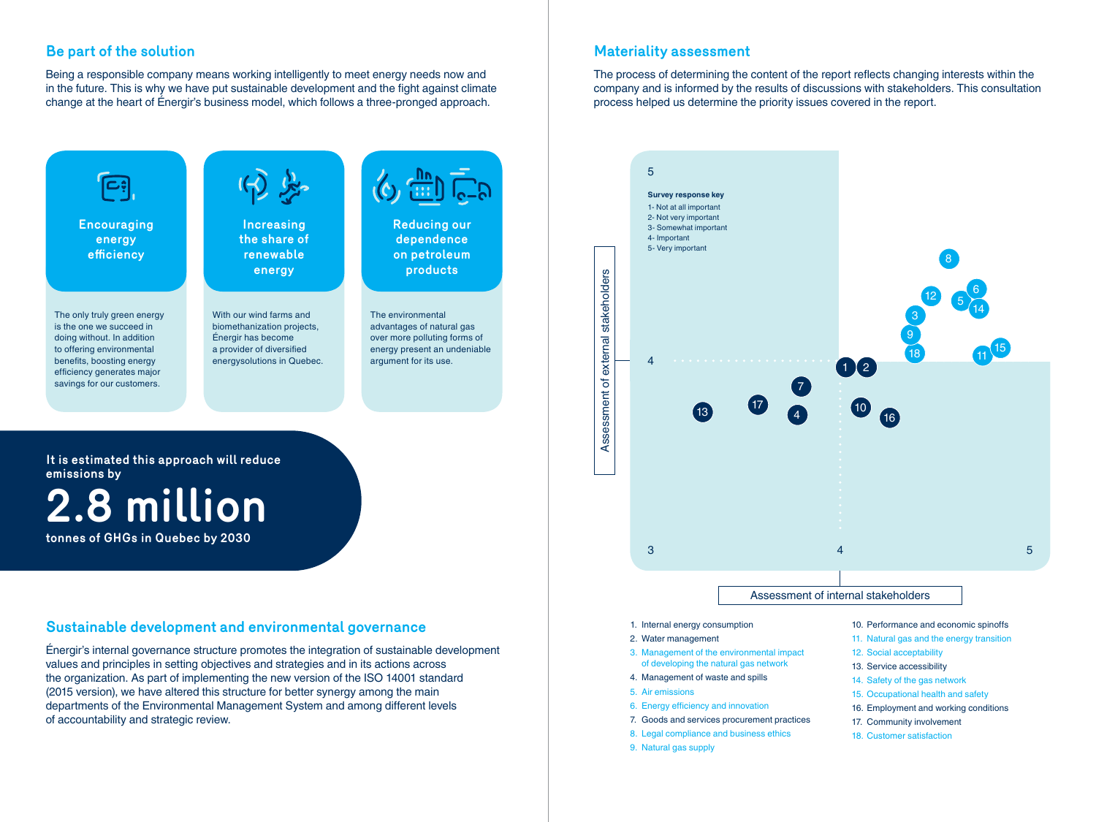## **Be part of the solution**

Being a responsible company means working intelligently to meet energy needs now and in the future. This is why we have put sustainable development and the fight against climate change at the heart of Énergir's business model, which follows a three-pronged approach.



#### **Sustainable development and environmental governance**

Énergir's internal governance structure promotes the integration of sustainable development values and principles in setting objectives and strategies and in its actions across the organization. As part of implementing the new version of the ISO 14001 standard (2015 version), we have altered this structure for better synergy among the main departments of the Environmental Management System and among different levels of accountability and strategic review.

## **Materiality assessment**

The process of determining the content of the report reflects changing interests within the company and is informed by the results of discussions with stakeholders. This consultation process helped us determine the priority issues covered in the report.



- 1. Internal energy consumption
- 2. Water management
- 3. Management of the environmental impact of developing the natural gas network
- 4. Management of waste and spills
- 5. Air emissions
- 6. Energy efficiency and innovation
- 7. Goods and services procurement practices
- 8. Legal compliance and business ethics
- 9. Natural gas supply
- 10. Performance and economic spinoffs
- 11. Natural gas and the energy transition
- 12. Social acceptability
- 13. Service accessibility
- 14. Safety of the gas network
- 15. Occupational health and safety
- 16. Employment and working conditions
- 17. Community involvement
- 18. Customer satisfaction